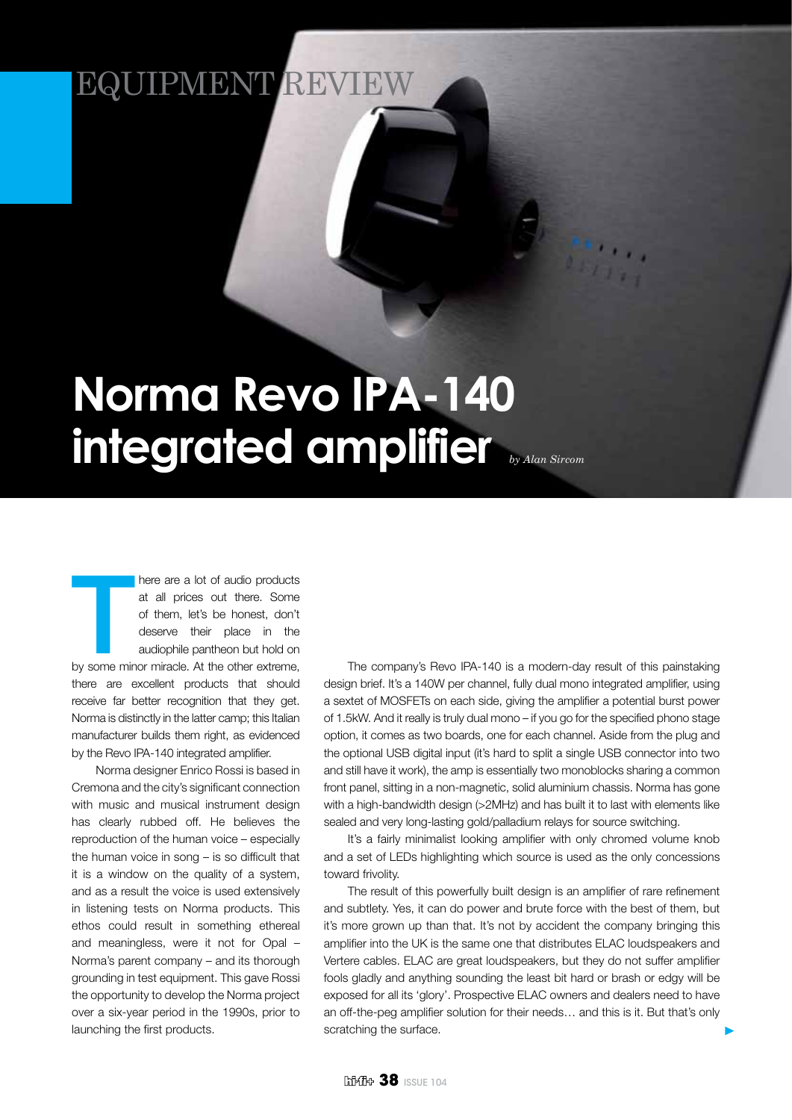## EQUIPMENT REV

## **Norma Revo IPA-140 integrated amplifier** *by Alan Sircom*

There are a lot of audio products<br>at all prices out there. Some<br>of them, let's be honest, don't<br>deserve their place in the<br>audiophile pantheon but hold on<br>by some minor miracle. At the other extreme, here are a lot of audio products at all prices out there. Some of them, let's be honest, don't deserve their place in the audiophile pantheon but hold on there are excellent products that should receive far better recognition that they get. Norma is distinctly in the latter camp; this Italian manufacturer builds them right, as evidenced by the Revo IPA-140 integrated amplifier.

Norma designer Enrico Rossi is based in Cremona and the city's significant connection with music and musical instrument design has clearly rubbed off. He believes the reproduction of the human voice – especially the human voice in song – is so difficult that it is a window on the quality of a system, and as a result the voice is used extensively in listening tests on Norma products. This ethos could result in something ethereal and meaningless, were it not for Opal – Norma's parent company – and its thorough grounding in test equipment. This gave Rossi the opportunity to develop the Norma project over a six-year period in the 1990s, prior to launching the first products.

The company's Revo IPA-140 is a modern-day result of this painstaking design brief. It's a 140W per channel, fully dual mono integrated amplifier, using a sextet of MOSFETs on each side, giving the amplifier a potential burst power of 1.5kW. And it really is truly dual mono – if you go for the specified phono stage option, it comes as two boards, one for each channel. Aside from the plug and the optional USB digital input (it's hard to split a single USB connector into two and still have it work), the amp is essentially two monoblocks sharing a common front panel, sitting in a non-magnetic, solid aluminium chassis. Norma has gone with a high-bandwidth design (>2MHz) and has built it to last with elements like sealed and very long-lasting gold/palladium relays for source switching.

It's a fairly minimalist looking amplifier with only chromed volume knob and a set of LEDs highlighting which source is used as the only concessions toward frivolity.

The result of this powerfully built design is an amplifier of rare refinement and subtlety. Yes, it can do power and brute force with the best of them, but it's more grown up than that. It's not by accident the company bringing this amplifier into the UK is the same one that distributes ELAC loudspeakers and Vertere cables. ELAC are great loudspeakers, but they do not suffer amplifier fools gladly and anything sounding the least bit hard or brash or edgy will be exposed for all its 'glory'. Prospective ELAC owners and dealers need to have an off-the-peg amplifier solution for their needs… and this is it. But that's only scratching the surface.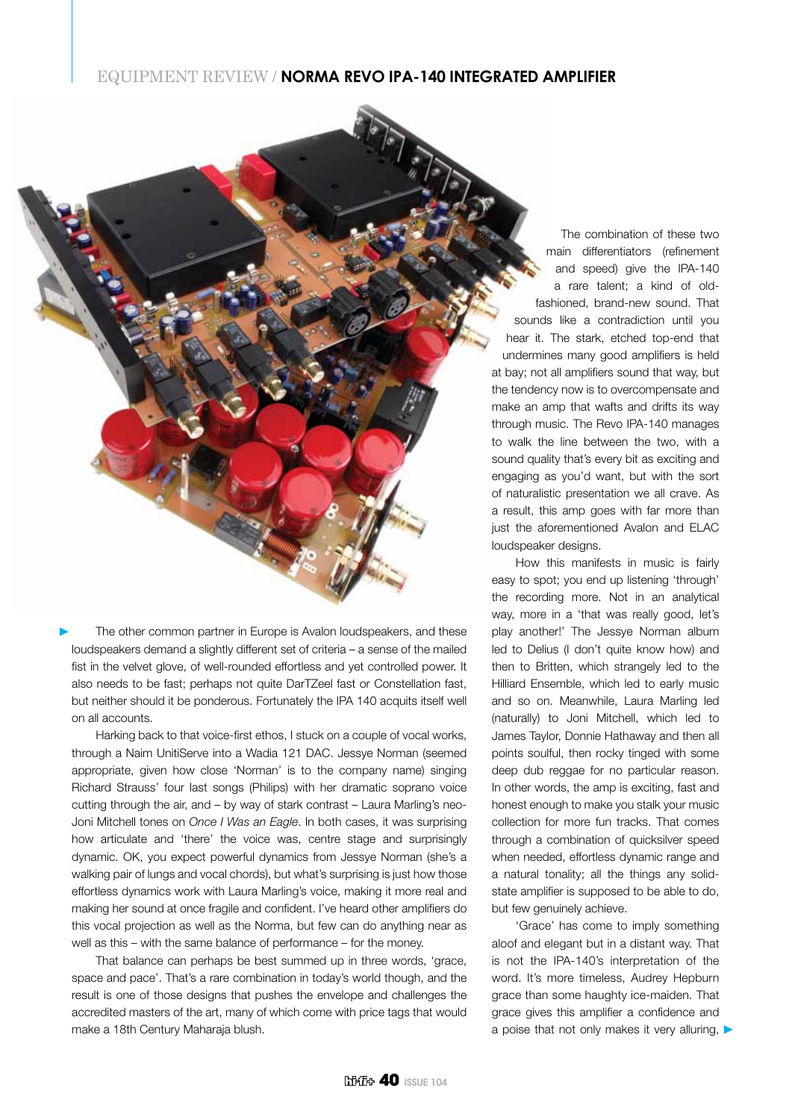## EQUIPMENT REVIEW / **Norma Revo IPA-140 integrated amplifier**

The other common partner in Europe is Avalon loudspeakers, and these loudspeakers demand a slightly different set of criteria – a sense of the mailed fist in the velvet glove, of well-rounded effortless and yet controlled power. It also needs to be fast; perhaps not quite DarTZeel fast or Constellation fast, but neither should it be ponderous. Fortunately the IPA 140 acquits itself well on all accounts.

Harking back to that voice-first ethos, I stuck on a couple of vocal works, through a Naim UnitiServe into a Wadia 121 DAC. Jessye Norman (seemed appropriate, given how close 'Norman' is to the company name) singing Richard Strauss' four last songs (Philips) with her dramatic soprano voice cutting through the air, and – by way of stark contrast – Laura Marling's neo-Joni Mitchell tones on *Once I Was an Eagle*. In both cases, it was surprising how articulate and 'there' the voice was, centre stage and surprisingly dynamic. OK, you expect powerful dynamics from Jessye Norman (she's a walking pair of lungs and vocal chords), but what's surprising is just how those effortless dynamics work with Laura Marling's voice, making it more real and making her sound at once fragile and confident. I've heard other amplifiers do this vocal projection as well as the Norma, but few can do anything near as well as this – with the same balance of performance – for the money.

That balance can perhaps be best summed up in three words, 'grace, space and pace'. That's a rare combination in today's world though, and the result is one of those designs that pushes the envelope and challenges the accredited masters of the art, many of which come with price tags that would make a 18th Century Maharaja blush.

The combination of these two main differentiators (refinement and speed) give the IPA-140 a rare talent; a kind of oldfashioned, brand-new sound. That sounds like a contradiction until you hear it. The stark, etched top-end that undermines many good amplifiers is held at bay; not all amplifiers sound that way, but the tendency now is to overcompensate and make an amp that wafts and drifts its way through music. The Revo IPA-140 manages to walk the line between the two, with a sound quality that's every bit as exciting and engaging as you'd want, but with the sort of naturalistic presentation we all crave. As a result, this amp goes with far more than just the aforementioned Avalon and ELAC loudspeaker designs.

How this manifests in music is fairly easy to spot; you end up listening 'through' the recording more. Not in an analytical way, more in a 'that was really good, let's play another!' The Jessye Norman album led to Delius (I don't quite know how) and then to Britten, which strangely led to the Hilliard Ensemble, which led to early music and so on. Meanwhile, Laura Marling led (naturally) to Joni Mitchell, which led to James Taylor, Donnie Hathaway and then all points soulful, then rocky tinged with some deep dub reggae for no particular reason. In other words, the amp is exciting, fast and honest enough to make you stalk your music collection for more fun tracks. That comes through a combination of quicksilver speed when needed, effortless dynamic range and a natural tonality; all the things any solidstate amplifier is supposed to be able to do, but few genuinely achieve.

'Grace' has come to imply something aloof and elegant but in a distant way. That is not the IPA-140's interpretation of the word. It's more timeless, Audrey Hepburn grace than some haughty ice-maiden. That grace gives this amplifier a confidence and a poise that not only makes it very alluring,